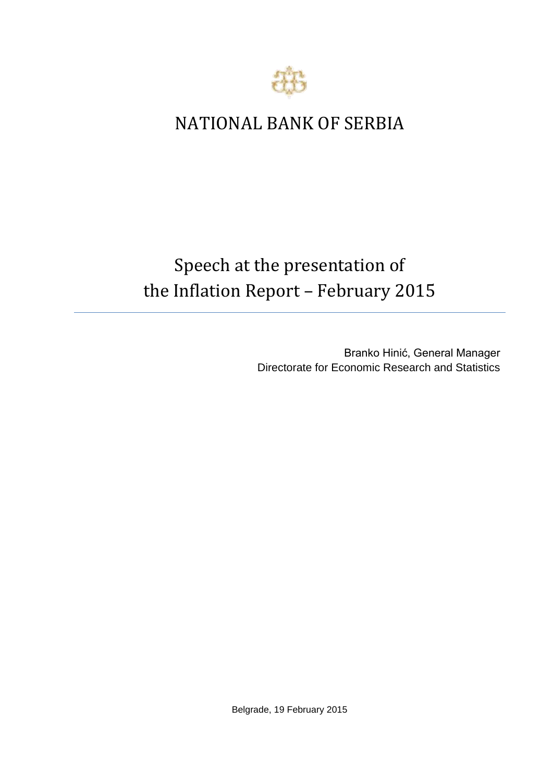

## NATIONAL BANK OF SERBIA

## Speech at the presentation of the Inflation Report – February 2015

Branko Hinić, General Manager Directorate for Economic Research and Statistics

Belgrade, 19 February 2015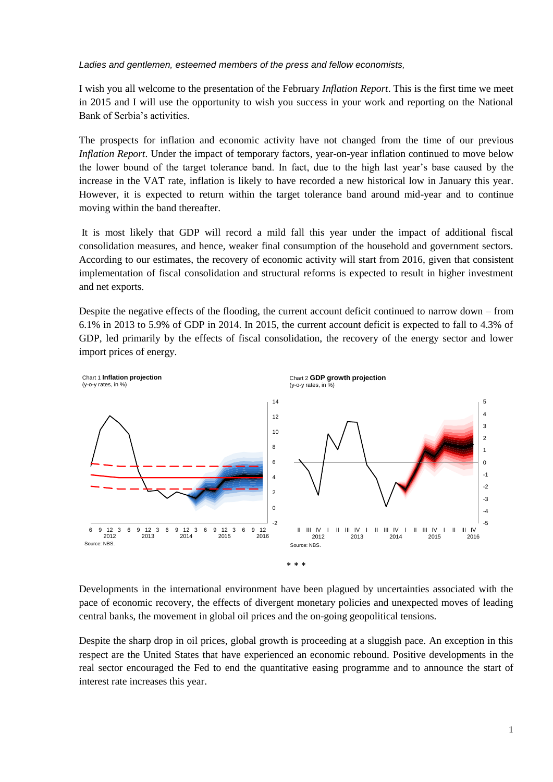*Ladies and gentlemen, esteemed members of the press and fellow economists,*

I wish you all welcome to the presentation of the February *Inflation Report*. This is the first time we meet in 2015 and I will use the opportunity to wish you success in your work and reporting on the National Bank of Serbia's activities.

The prospects for inflation and economic activity have not changed from the time of our previous *Inflation Report*. Under the impact of temporary factors, year-on-year inflation continued to move below the lower bound of the target tolerance band. In fact, due to the high last year's base caused by the increase in the VAT rate, inflation is likely to have recorded a new historical low in January this year. However, it is expected to return within the target tolerance band around mid-year and to continue moving within the band thereafter.

It is most likely that GDP will record a mild fall this year under the impact of additional fiscal consolidation measures, and hence, weaker final consumption of the household and government sectors. According to our estimates, the recovery of economic activity will start from 2016, given that consistent implementation of fiscal consolidation and structural reforms is expected to result in higher investment and net exports.

Despite the negative effects of the flooding, the current account deficit continued to narrow down – from 6.1% in 2013 to 5.9% of GDP in 2014. In 2015, the current account deficit is expected to fall to 4.3% of GDP, led primarily by the effects of fiscal consolidation, the recovery of the energy sector and lower import prices of energy.



Developments in the international environment have been plagued by uncertainties associated with the pace of economic recovery, the effects of divergent monetary policies and unexpected moves of leading central banks, the movement in global oil prices and the on-going geopolitical tensions.

Despite the sharp drop in oil prices, global growth is proceeding at a sluggish pace. An exception in this respect are the United States that have experienced an economic rebound. Positive developments in the real sector encouraged the Fed to end the quantitative easing programme and to announce the start of interest rate increases this year.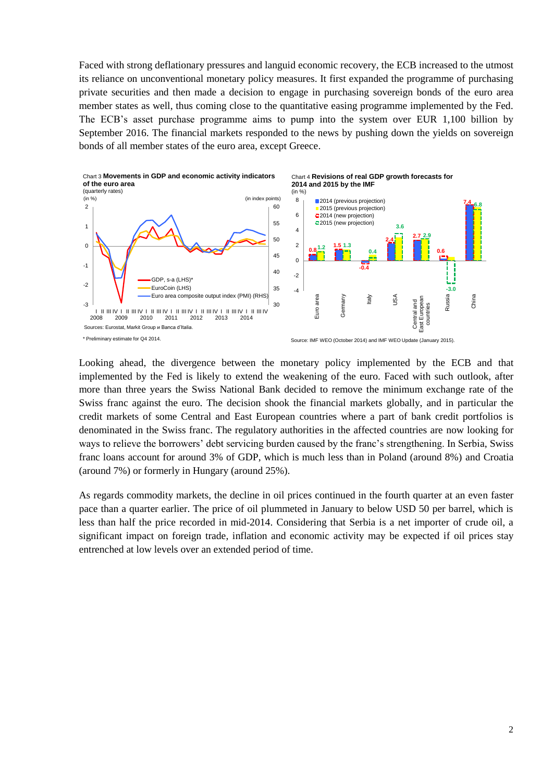Faced with strong deflationary pressures and languid economic recovery, the ECB increased to the utmost its reliance on unconventional monetary policy measures. It first expanded the programme of purchasing private securities and then made a decision to engage in purchasing sovereign bonds of the euro area member states as well, thus coming close to the quantitative easing programme implemented by the Fed. The ECB's asset purchase programme aims to pump into the system over EUR 1,100 billion by September 2016. The financial markets responded to the news by pushing down the yields on sovereign bonds of all member states of the euro area, except Greece.



Looking ahead, the divergence between the monetary policy implemented by the ECB and that implemented by the Fed is likely to extend the weakening of the euro. Faced with such outlook, after more than three years the Swiss National Bank decided to remove the minimum exchange rate of the Swiss franc against the euro. The decision shook the financial markets globally, and in particular the credit markets of some Central and East European countries where a part of bank credit portfolios is denominated in the Swiss franc. The regulatory authorities in the affected countries are now looking for ways to relieve the borrowers' debt servicing burden caused by the franc's strengthening. In Serbia, Swiss franc loans account for around 3% of GDP, which is much less than in Poland (around 8%) and Croatia (around 7%) or formerly in Hungary (around 25%).

As regards commodity markets, the decline in oil prices continued in the fourth quarter at an even faster pace than a quarter earlier. The price of oil plummeted in January to below USD 50 per barrel, which is less than half the price recorded in mid-2014. Considering that Serbia is a net importer of crude oil, a significant impact on foreign trade, inflation and economic activity may be expected if oil prices stay entrenched at low levels over an extended period of time.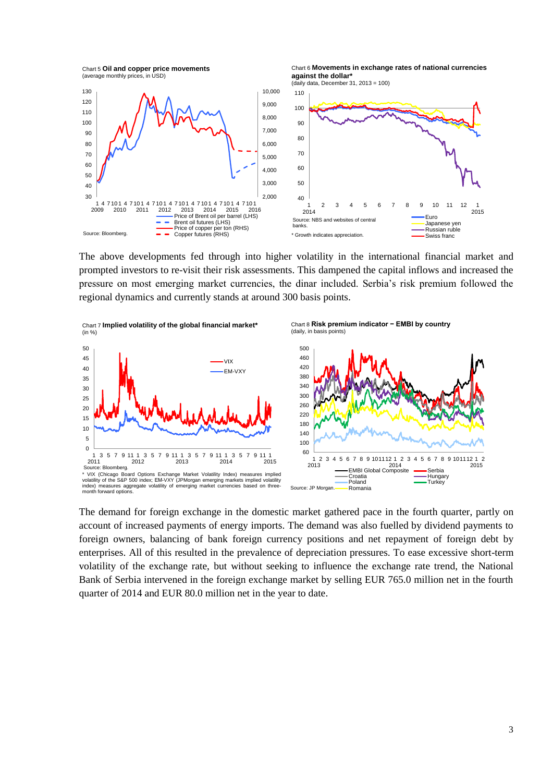Chart 5 **Oil and copper price movements**  (average monthly prices, in USD)

Chart 6 **Movements in exchange rates of national currencies against the dollar\***



The above developments fed through into higher volatility in the international financial market and prompted investors to re-visit their risk assessments. This dampened the capital inflows and increased the pressure on most emerging market currencies, the dinar included. Serbia's risk premium followed the regional dynamics and currently stands at around 300 basis points.



The demand for foreign exchange in the domestic market gathered pace in the fourth quarter, partly on account of increased payments of energy imports. The demand was also fuelled by dividend payments to foreign owners, balancing of bank foreign currency positions and net repayment of foreign debt by enterprises. All of this resulted in the prevalence of depreciation pressures. To ease excessive short-term volatility of the exchange rate, but without seeking to influence the exchange rate trend, the National Bank of Serbia intervened in the foreign exchange market by selling EUR 765.0 million net in the fourth quarter of 2014 and EUR 80.0 million net in the year to date.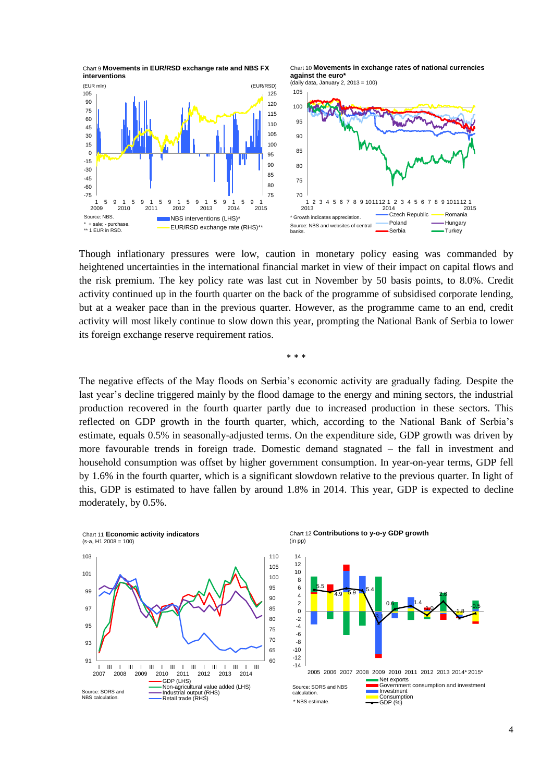

Chart 10 **Movements in exchange rates of national currencies against the euro\***





Though inflationary pressures were low, caution in monetary policy easing was commanded by heightened uncertainties in the international financial market in view of their impact on capital flows and the risk premium. The key policy rate was last cut in November by 50 basis points, to 8.0%. Credit activity continued up in the fourth quarter on the back of the programme of subsidised corporate lending, but at a weaker pace than in the previous quarter. However, as the programme came to an end, credit activity will most likely continue to slow down this year, prompting the National Bank of Serbia to lower its foreign exchange reserve requirement ratios.

\* \* \*

The negative effects of the May floods on Serbia's economic activity are gradually fading. Despite the last year's decline triggered mainly by the flood damage to the energy and mining sectors, the industrial production recovered in the fourth quarter partly due to increased production in these sectors. This reflected on GDP growth in the fourth quarter, which, according to the National Bank of Serbia's estimate, equals 0.5% in seasonally-adjusted terms. On the expenditure side, GDP growth was driven by more favourable trends in foreign trade. Domestic demand stagnated – the fall in investment and household consumption was offset by higher government consumption. In year-on-year terms, GDP fell by 1.6% in the fourth quarter, which is a significant slowdown relative to the previous quarter. In light of this, GDP is estimated to have fallen by around 1.8% in 2014. This year, GDP is expected to decline moderately, by 0.5%.



Chart 12 **Contributions to y-o-y GDP growth**

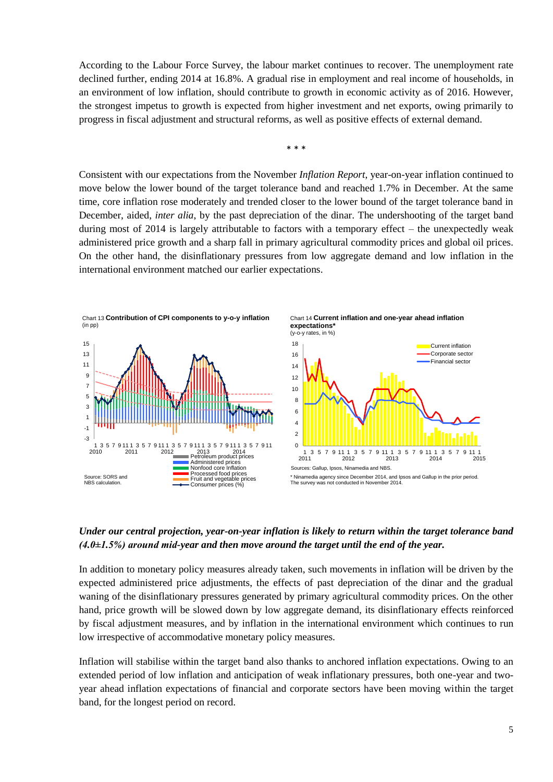According to the Labour Force Survey, the labour market continues to recover. The unemployment rate declined further, ending 2014 at 16.8%. A gradual rise in employment and real income of households, in an environment of low inflation, should contribute to growth in economic activity as of 2016. However, the strongest impetus to growth is expected from higher investment and net exports, owing primarily to progress in fiscal adjustment and structural reforms, as well as positive effects of external demand.

\* \* \*

Consistent with our expectations from the November *Inflation Report*, year-on-year inflation continued to move below the lower bound of the target tolerance band and reached 1.7% in December. At the same time, core inflation rose moderately and trended closer to the lower bound of the target tolerance band in December, aided, *inter alia*, by the past depreciation of the dinar. The undershooting of the target band during most of 2014 is largely attributable to factors with a temporary effect – the unexpectedly weak administered price growth and a sharp fall in primary agricultural commodity prices and global oil prices. On the other hand, the disinflationary pressures from low aggregate demand and low inflation in the international environment matched our earlier expectations.



## *Under our central projection, year-on-year inflation is likely to return within the target tolerance band (4.0±1.5%) around mid-year and then move around the target until the end of the year.*

In addition to monetary policy measures already taken, such movements in inflation will be driven by the expected administered price adjustments, the effects of past depreciation of the dinar and the gradual waning of the disinflationary pressures generated by primary agricultural commodity prices. On the other hand, price growth will be slowed down by low aggregate demand, its disinflationary effects reinforced by fiscal adjustment measures, and by inflation in the international environment which continues to run low irrespective of accommodative monetary policy measures.

Inflation will stabilise within the target band also thanks to anchored inflation expectations. Owing to an extended period of low inflation and anticipation of weak inflationary pressures, both one-year and twoyear ahead inflation expectations of financial and corporate sectors have been moving within the target band, for the longest period on record.